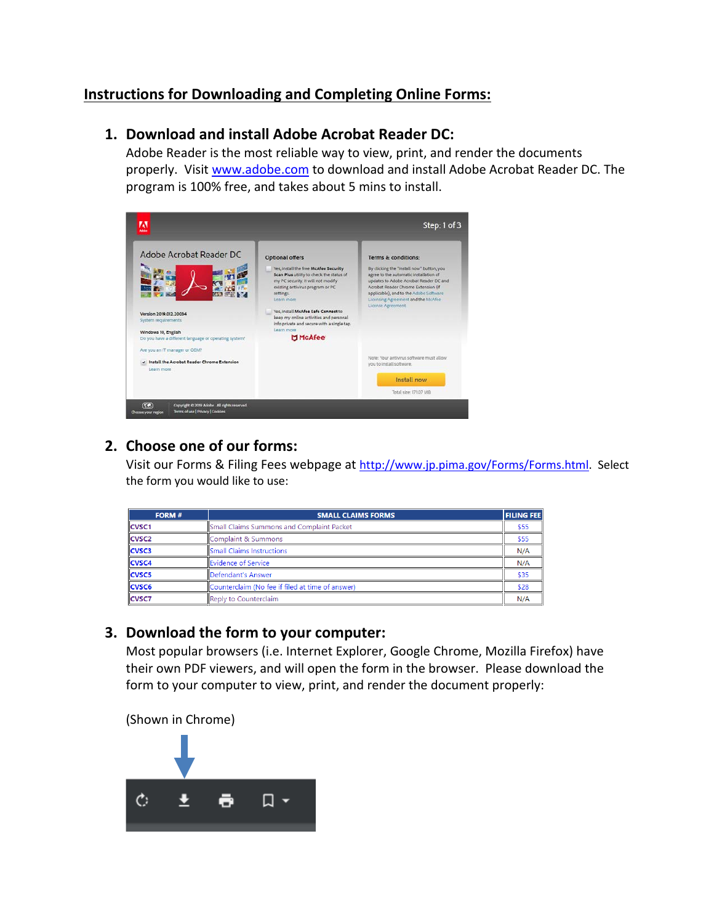# **Instructions for Downloading and Completing Online Forms:**

### **1. Download and install Adobe Acrobat Reader DC:**

Adobe Reader is the most reliable way to view, print, and render the documents properly. Visit [www.adobe.com](http://www.adobe.com/) to download and install Adobe Acrobat Reader DC. The program is 100% free, and takes about 5 mins to install.



# **2. Choose one of our forms:**

Visit our Forms & Filing Fees webpage at [http://www.jp.pima.gov/Forms/Forms.html.](http://www.jp.pima.gov/Forms/Forms.html) Select the form you would like to use:

| FORM #       | <b>SMALL CLAIMS FORMS</b>                        | <b>FILING FEE</b> |
|--------------|--------------------------------------------------|-------------------|
| <b>CVSC1</b> | <b>Small Claims Summons and Complaint Packet</b> | \$55              |
| <b>CVSC2</b> | Complaint & Summons                              | \$55              |
| <b>CVSC3</b> | <b>Small Claims Instructions</b>                 | N/A               |
| <b>CVSC4</b> | Evidence of Service                              | N/A               |
| <b>CVSC5</b> | <b>IDefendant's Answer</b>                       | \$35              |
| <b>CVSC6</b> | Counterclaim (No fee if filed at time of answer) | \$28              |
| <b>CVSC7</b> | Reply to Counterclaim                            | N/A               |

### **3. Download the form to your computer:**

Most popular browsers (i.e. Internet Explorer, Google Chrome, Mozilla Firefox) have their own PDF viewers, and will open the form in the browser. Please download the form to your computer to view, print, and render the document properly:

(Shown in Chrome)

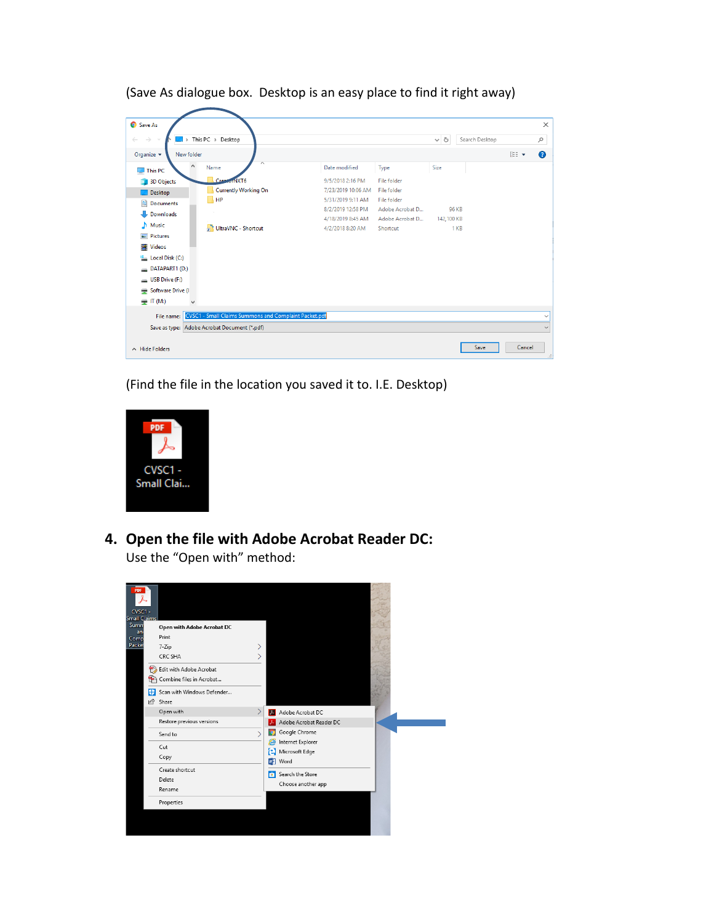| Save As                        |                                                       |                    |                    |                            |            | $\times$     |
|--------------------------------|-------------------------------------------------------|--------------------|--------------------|----------------------------|------------|--------------|
| $\rightarrow$<br>$\sim$        | This PC > Desktop<br>$\mathbf{r}$                     |                    |                    | Search Desktop<br>$\sim$ 0 |            | ٩            |
| Organize $\blacktriangleright$ | New folder                                            |                    |                    |                            | <b>BEE</b> | ◙            |
| $\Box$ This PC                 | $\widehat{\phantom{a}}$<br>۸<br>Name                  | Date modified      | Type               | Size                       |            |              |
| 3D Objects                     | $C_{\text{ra}}$<br>NXT6                               | 9/5/2018 2:16 PM   | <b>File folder</b> |                            |            |              |
| <b>Desktop</b>                 | <b>Currently Working On</b>                           | 7/23/2019 10:06 AM | <b>File folder</b> |                            |            |              |
| 育<br><b>Documents</b>          | HP                                                    | 5/31/2019 9:11 AM  | <b>File folder</b> |                            |            |              |
| Downloads                      |                                                       | 8/2/2019 12:58 PM  | Adobe Acrobat D    | 96 KB                      |            |              |
|                                |                                                       | 4/18/2019 8:45 AM  | Adobe Acrobat D    | 142,100 KB                 |            |              |
| Music                          | UltraVNC - Shortcut                                   | 4/2/2018 8:20 AM   | Shortcut           | 1 KB                       |            |              |
| Pictures                       |                                                       |                    |                    |                            |            |              |
| <b>图</b> Videos                |                                                       |                    |                    |                            |            |              |
| <b>EL</b> Local Disk (C:)      |                                                       |                    |                    |                            |            |              |
| $\Box$ DATAPART1(D:)           |                                                       |                    |                    |                            |            |              |
| USB Drive (F:)                 |                                                       |                    |                    |                            |            |              |
| Software Drive (I              |                                                       |                    |                    |                            |            |              |
| $\equiv$ IT (M:)               | v                                                     |                    |                    |                            |            |              |
| File name:                     | CVSC1 - Small Claims Summons and Complaint Packet.pdf |                    |                    |                            |            | $\checkmark$ |
|                                | Save as type: Adobe Acrobat Document (*.pdf)          |                    |                    |                            |            | $\checkmark$ |
|                                |                                                       |                    |                    |                            |            |              |
|                                |                                                       |                    |                    | Save                       | Cancel     |              |
| A Hide Folders                 |                                                       |                    |                    |                            |            | $\mathbb{R}$ |

(Save As dialogue box. Desktop is an easy place to find it right away)

(Find the file in the location you saved it to. I.E. Desktop)



**4. Open the file with Adobe Acrobat Reader DC:** Use the "Open with" method: